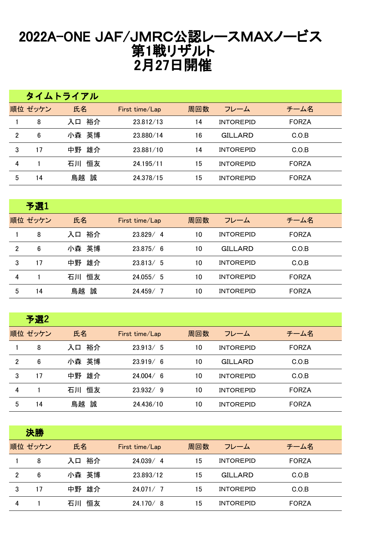## 2022A-ONE JAF/JMRC公認レースMAXノービス 第1戦リザルト 2月27日開催

|                |         | タイムトライアル |                |     |                  |              |
|----------------|---------|----------|----------------|-----|------------------|--------------|
|                | 順位 ゼッケン | 氏名       | First time/Lap | 周回数 | フレーム             | チーム名         |
|                | 8       | 裕介<br>入口 | 23.812/13      | 14  | <b>INTOREPID</b> | <b>FORZA</b> |
| $\overline{2}$ | 6       | 小森 英博    | 23.880/14      | 16  | GILLARD          | C.O.B        |
| 3              | 17      | 雄介<br>中野 | 23.881/10      | 14  | <b>INTOREPID</b> | C.O.B        |
| 4              |         | 恒友<br>石川 | 24.195/11      | 15  | <b>INTOREPID</b> | <b>FORZA</b> |
| 5              | 14      | 誠<br>鳥越  | 24.378/15      | 15  | <b>INTOREPID</b> | <b>FORZA</b> |

|                | 予選1     |          |                |     |                  |              |
|----------------|---------|----------|----------------|-----|------------------|--------------|
|                | 順位 ゼッケン | 氏名       | First time/Lap | 周回数 | フレーム             | チーム名         |
|                | 8       | 裕介<br>入口 | 23.829/4       | 10  | <b>INTOREPID</b> | <b>FORZA</b> |
| $\overline{2}$ | 6       | 小森 英博    | 23.875/6       | 10  | <b>GILLARD</b>   | C.O.B        |
| 3              | 17      | 雄介<br>中野 | 23.813/5       | 10  | <b>INTOREPID</b> | C.O.B        |
| 4              |         | 恒友<br>石川 | 24.055 / 5     | 10  | <b>INTOREPID</b> | <b>FORZA</b> |
| 5              | 14      | 鳥越 誠     | 24.459/<br>- 7 | 10  | <b>INTOREPID</b> | <b>FORZA</b> |

|                | 予選2     |          |                |     |                  |              |
|----------------|---------|----------|----------------|-----|------------------|--------------|
|                | 順位 ゼッケン | 氏名       | First time/Lap | 周回数 | フレーム             | チーム名         |
|                | 8       | 裕介<br>入口 | 23.913/5       | 10  | <b>INTOREPID</b> | <b>FORZA</b> |
| $\overline{2}$ | 6       | 小森 英博    | 23.919/6       | 10  | <b>GILLARD</b>   | C.O.B        |
| 3              | 17      | 雄介<br>中野 | 24.004/6       | 10  | <b>INTOREPID</b> | C.O.B        |
| 4              |         | 恒友<br>石川 | 23.932/9       | 10  | <b>INTOREPID</b> | <b>FORZA</b> |
| 5              | 14      | 鳥越<br>誠  | 24.436/10      | 10  | <b>INTOREPID</b> | <b>FORZA</b> |

|                | 決勝      |          |                |     |                  |              |
|----------------|---------|----------|----------------|-----|------------------|--------------|
|                | 順位 ゼッケン | 氏名       | First time/Lap | 周回数 | フレーム             | チーム名         |
|                | 8       | 裕介<br>入口 | 24.039/4       | 15  | <b>INTOREPID</b> | <b>FORZA</b> |
| $\overline{2}$ | 6       | 小森 英博    | 23.893/12      | 15  | <b>GILLARD</b>   | C.O.B        |
| 3              | 17      | 雄介<br>中野 | 24.071/7       | 15  | <b>INTOREPID</b> | C.O.B        |
| 4              |         | 恒友<br>石川 | 24.170/8       | 15  | <b>INTOREPID</b> | <b>FORZA</b> |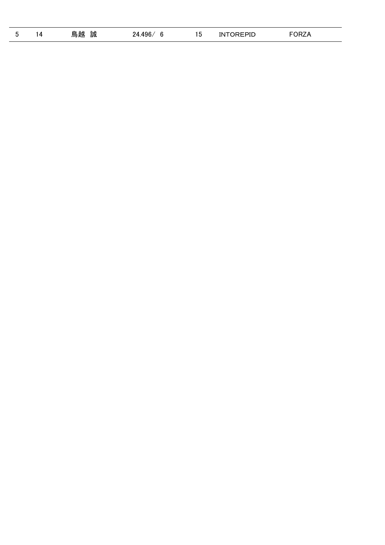| <b>.</b> | Д | 鳥越<br>誠 | 496<br>94<br>h<br>u | ו ו<br>. ט | <b>'NTOREPID</b> | $\sim$ $\sim$ $\sim$ $\sim$<br>JRZA |  |
|----------|---|---------|---------------------|------------|------------------|-------------------------------------|--|
|----------|---|---------|---------------------|------------|------------------|-------------------------------------|--|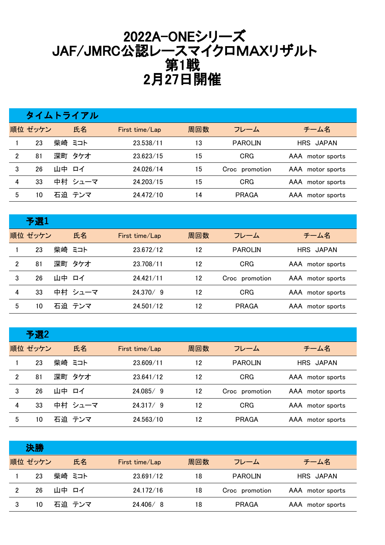## 2022A-ONEシリーズ JAF/JMRC公認レースマイクロMAXリザルト 第1戦 2月27日開催

|                |         |       | タイムトライアル |                |     |                |                  |
|----------------|---------|-------|----------|----------------|-----|----------------|------------------|
|                | 順位 ゼッケン |       | 氏名       | First time/Lap | 周回数 | フレーム           | チーム名             |
|                | 23      |       | 柴崎 ミコト   | 23.538/11      | 13  | <b>PAROLIN</b> | HRS JAPAN        |
| $\overline{2}$ | 81      |       | 深町 タケオ   | 23.623/15      | 15  | <b>CRG</b>     | AAA motor sports |
| 3              | 26      | 山中 ロイ |          | 24.026/14      | 15  | Croc promotion | AAA motor sports |
| 4              | 33      |       | 中村 シューマ  | 24.203/15      | 15  | <b>CRG</b>     | AAA motor sports |
| 5              | 10      |       | 石迫 テンマ   | 24.472/10      | 14  | PRAGA          | AAA motor sports |

|   | 予選1     |       |         |                |     |                |                     |
|---|---------|-------|---------|----------------|-----|----------------|---------------------|
|   | 順位 ゼッケン |       | 氏名      | First time/Lap | 周回数 | フレーム           | チーム名                |
|   | 23      |       | 柴崎 ミコト  | 23.672/12      | 12  | <b>PAROLIN</b> | HRS JAPAN           |
| 2 | 81      |       | 深町 タケオ  | 23.708/11      | 12  | <b>CRG</b>     | AAA motor sports    |
| 3 | 26      | 山中 ロイ |         | 24.421/11      | 12  | Croc promotion | AAA motor sports    |
| 4 | 33      |       | 中村 シューマ | 24.370/9       | 12  | <b>CRG</b>     | AAA motor sports    |
| 5 | 10      |       | 石迫 テンマ  | 24.501/12      | 12  | <b>PRAGA</b>   | AAA<br>motor sports |

|   | 予選2     |       |         |                |     |                |                  |
|---|---------|-------|---------|----------------|-----|----------------|------------------|
|   | 順位 ゼッケン |       | 氏名      | First time/Lap | 周回数 | フレーム           | チーム名             |
|   | 23      |       | 柴崎 ミコト  | 23.609/11      | 12  | <b>PAROLIN</b> | HRS JAPAN        |
| 2 | 81      |       | 深町 タケオ  | 23.641/12      | 12  | <b>CRG</b>     | AAA motor sports |
| 3 | 26      | 山中 ロイ |         | 24.085/9       | 12  | Croc promotion | AAA motor sports |
| 4 | 33      |       | 中村 シューマ | 24.317/9       | 12  | <b>CRG</b>     | AAA motor sports |
| 5 | 10      |       | 石迫 テンマ  | 24.563/10      | 12  | <b>PRAGA</b>   | AAA motor sports |

|   | 決勝      |       |        |                |     |                |                  |
|---|---------|-------|--------|----------------|-----|----------------|------------------|
|   | 順位 ゼッケン |       | 氏名     | First time/Lap | 周回数 | フレーム           | チーム名             |
|   | 23      |       | 柴崎 ミコト | 23.691/12      | 18  | <b>PAROLIN</b> | HRS JAPAN        |
| 2 | 26      | 山中 ロイ |        | 24.172/16      | 18  | Croc promotion | AAA motor sports |
| 3 | 10      |       | 石迫 テンマ | 24.406/8       | 18  | PRAGA          | AAA motor sports |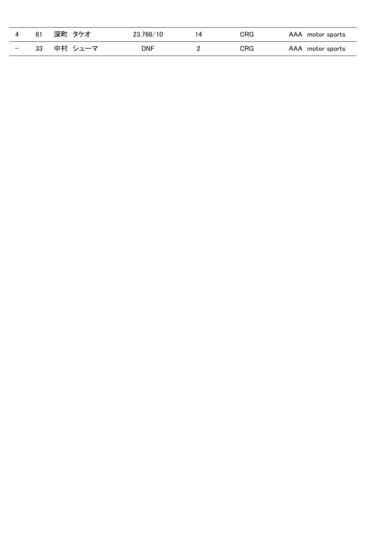|                          |    | 深町 タケオ  | 23.768/10 | CRG | AAA motor sports |
|--------------------------|----|---------|-----------|-----|------------------|
| $\overline{\phantom{a}}$ | 33 | 中村 シューマ | DNF       | CRG | AAA motor sports |